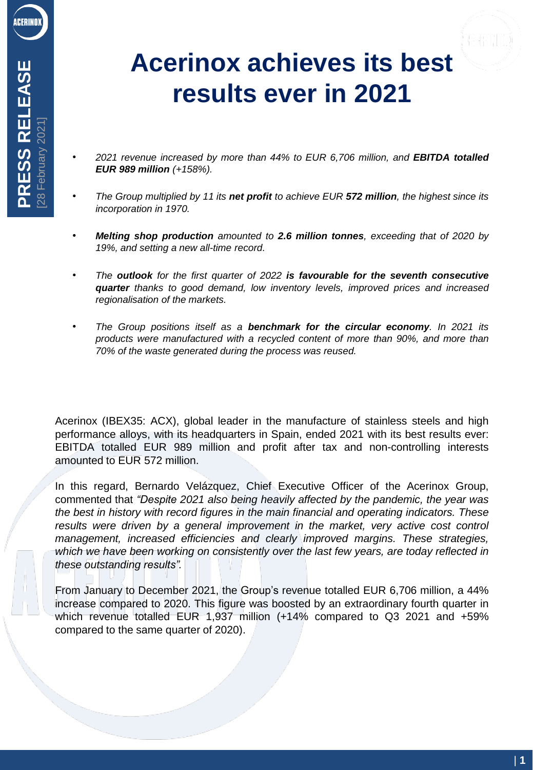## **Acerinox achieves its best results ever in 2021**

- *2021 revenue increased by more than 44% to EUR 6,706 million, and EBITDA totalled EUR 989 million (+158%).*
- *The Group multiplied by 11 its net profit to achieve EUR 572 million, the highest since its incorporation in 1970.*
- *Melting shop production amounted to 2.6 million tonnes, exceeding that of 2020 by 19%, and setting a new all-time record.*
- *The outlook for the first quarter of 2022 is favourable for the seventh consecutive quarter thanks to good demand, low inventory levels, improved prices and increased regionalisation of the markets.*
- *The Group positions itself as a benchmark for the circular economy. In 2021 its products were manufactured with a recycled content of more than 90%, and more than 70% of the waste generated during the process was reused.*

Acerinox (IBEX35: ACX), global leader in the manufacture of stainless steels and high performance alloys, with its headquarters in Spain, ended 2021 with its best results ever: EBITDA totalled EUR 989 million and profit after tax and non-controlling interests amounted to EUR 572 million.

In this regard, Bernardo Velázquez, Chief Executive Officer of the Acerinox Group, commented that *"Despite 2021 also being heavily affected by the pandemic, the year was the best in history with record figures in the main financial and operating indicators. These results were driven by a general improvement in the market, very active cost control management, increased efficiencies and clearly improved margins. These strategies, which we have been working on consistently over the last few years, are today reflected in these outstanding results".*

From January to December 2021, the Group's revenue totalled EUR 6,706 million, a 44% increase compared to 2020. This figure was boosted by an extraordinary fourth quarter in which revenue totalled EUR 1,937 million (+14% compared to Q3 2021 and +59% compared to the same quarter of 2020).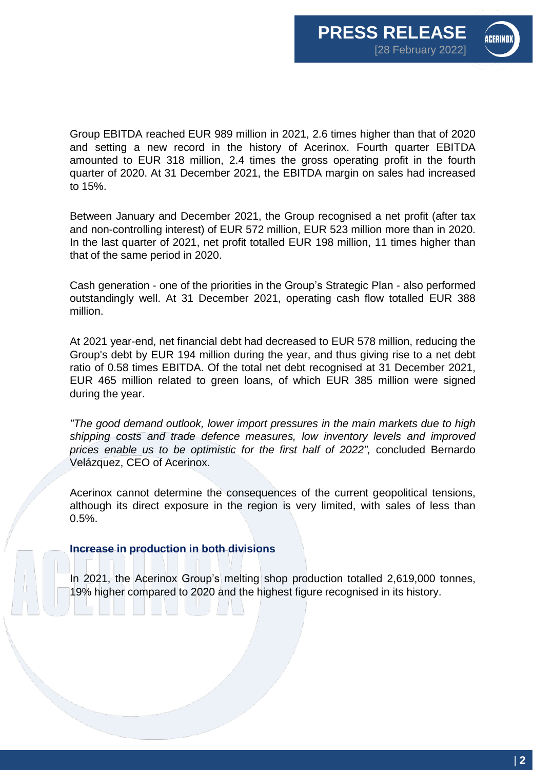

Group EBITDA reached EUR 989 million in 2021, 2.6 times higher than that of 2020 and setting a new record in the history of Acerinox. Fourth quarter EBITDA amounted to EUR 318 million, 2.4 times the gross operating profit in the fourth quarter of 2020. At 31 December 2021, the EBITDA margin on sales had increased to 15%.

Between January and December 2021, the Group recognised a net profit (after tax and non-controlling interest) of EUR 572 million, EUR 523 million more than in 2020. In the last quarter of 2021, net profit totalled EUR 198 million, 11 times higher than that of the same period in 2020.

Cash generation - one of the priorities in the Group's Strategic Plan - also performed outstandingly well. At 31 December 2021, operating cash flow totalled EUR 388 million.

At 2021 year-end, net financial debt had decreased to EUR 578 million, reducing the Group's debt by EUR 194 million during the year, and thus giving rise to a net debt ratio of 0.58 times EBITDA. Of the total net debt recognised at 31 December 2021, EUR 465 million related to green loans, of which EUR 385 million were signed during the year.

*"The good demand outlook, lower import pressures in the main markets due to high shipping costs and trade defence measures, low inventory levels and improved prices enable us to be optimistic for the first half of 2022",* concluded Bernardo Velázquez, CEO of Acerinox.

Acerinox cannot determine the consequences of the current geopolitical tensions, although its direct exposure in the region is very limited, with sales of less than 0.5%.

## **Increase in production in both divisions**

In 2021, the Acerinox Group's melting shop production totalled 2,619,000 tonnes, 19% higher compared to 2020 and the highest figure recognised in its history.